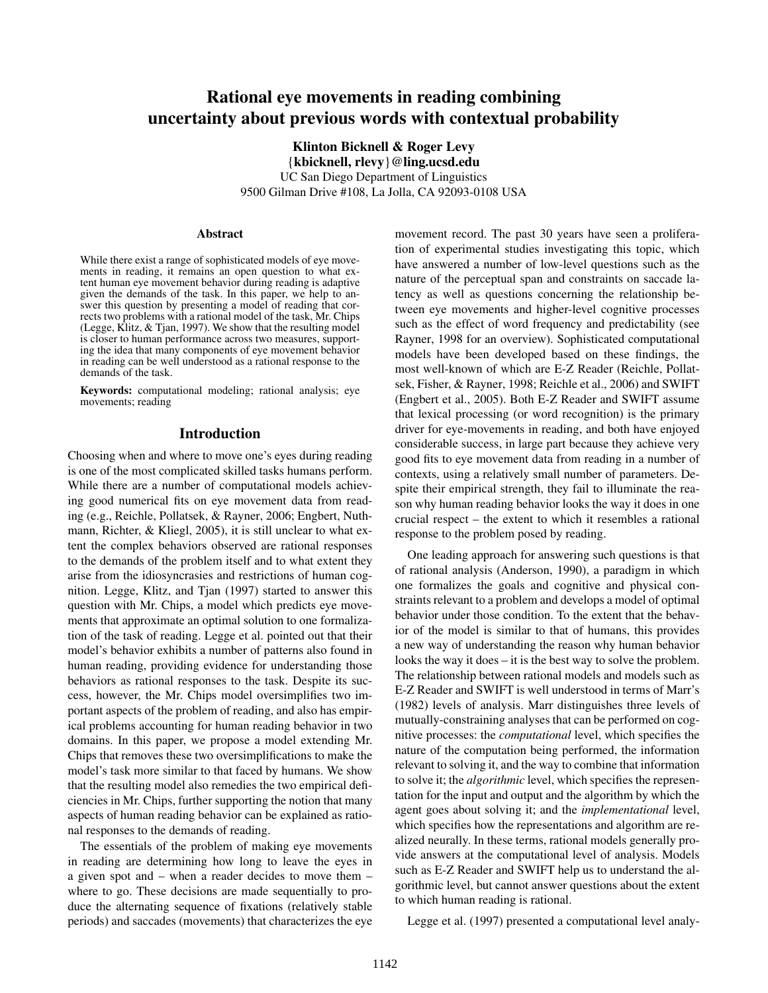# Rational eye movements in reading combining uncertainty about previous words with contextual probability

Klinton Bicknell & Roger Levy {kbicknell, rlevy}@ling.ucsd.edu UC San Diego Department of Linguistics 9500 Gilman Drive #108, La Jolla, CA 92093-0108 USA

#### Abstract

While there exist a range of sophisticated models of eye movements in reading, it remains an open question to what extent human eye movement behavior during reading is adaptive given the demands of the task. In this paper, we help to answer this question by presenting a model of reading that corrects two problems with a rational model of the task, Mr. Chips (Legge, Klitz,  $&$  Tjan, 1997). We show that the resulting model is closer to human performance across two measures, supporting the idea that many components of eye movement behavior in reading can be well understood as a rational response to the demands of the task.

Keywords: computational modeling; rational analysis; eye movements; reading

## Introduction

Choosing when and where to move one's eyes during reading is one of the most complicated skilled tasks humans perform. While there are a number of computational models achieving good numerical fits on eye movement data from reading (e.g., Reichle, Pollatsek, & Rayner, 2006; Engbert, Nuthmann, Richter, & Kliegl, 2005), it is still unclear to what extent the complex behaviors observed are rational responses to the demands of the problem itself and to what extent they arise from the idiosyncrasies and restrictions of human cognition. Legge, Klitz, and Tjan (1997) started to answer this question with Mr. Chips, a model which predicts eye movements that approximate an optimal solution to one formalization of the task of reading. Legge et al. pointed out that their model's behavior exhibits a number of patterns also found in human reading, providing evidence for understanding those behaviors as rational responses to the task. Despite its success, however, the Mr. Chips model oversimplifies two important aspects of the problem of reading, and also has empirical problems accounting for human reading behavior in two domains. In this paper, we propose a model extending Mr. Chips that removes these two oversimplifications to make the model's task more similar to that faced by humans. We show that the resulting model also remedies the two empirical deficiencies in Mr. Chips, further supporting the notion that many aspects of human reading behavior can be explained as rational responses to the demands of reading.

The essentials of the problem of making eye movements in reading are determining how long to leave the eyes in a given spot and – when a reader decides to move them – where to go. These decisions are made sequentially to produce the alternating sequence of fixations (relatively stable periods) and saccades (movements) that characterizes the eye movement record. The past 30 years have seen a proliferation of experimental studies investigating this topic, which have answered a number of low-level questions such as the nature of the perceptual span and constraints on saccade latency as well as questions concerning the relationship between eye movements and higher-level cognitive processes such as the effect of word frequency and predictability (see Rayner, 1998 for an overview). Sophisticated computational models have been developed based on these findings, the most well-known of which are E-Z Reader (Reichle, Pollatsek, Fisher, & Rayner, 1998; Reichle et al., 2006) and SWIFT (Engbert et al., 2005). Both E-Z Reader and SWIFT assume that lexical processing (or word recognition) is the primary driver for eye-movements in reading, and both have enjoyed considerable success, in large part because they achieve very good fits to eye movement data from reading in a number of contexts, using a relatively small number of parameters. Despite their empirical strength, they fail to illuminate the reason why human reading behavior looks the way it does in one crucial respect – the extent to which it resembles a rational response to the problem posed by reading.

One leading approach for answering such questions is that of rational analysis (Anderson, 1990), a paradigm in which one formalizes the goals and cognitive and physical constraints relevant to a problem and develops a model of optimal behavior under those condition. To the extent that the behavior of the model is similar to that of humans, this provides a new way of understanding the reason why human behavior looks the way it does – it is the best way to solve the problem. The relationship between rational models and models such as E-Z Reader and SWIFT is well understood in terms of Marr's (1982) levels of analysis. Marr distinguishes three levels of mutually-constraining analyses that can be performed on cognitive processes: the *computational* level, which specifies the nature of the computation being performed, the information relevant to solving it, and the way to combine that information to solve it; the *algorithmic* level, which specifies the representation for the input and output and the algorithm by which the agent goes about solving it; and the *implementational* level, which specifies how the representations and algorithm are realized neurally. In these terms, rational models generally provide answers at the computational level of analysis. Models such as E-Z Reader and SWIFT help us to understand the algorithmic level, but cannot answer questions about the extent to which human reading is rational.

Legge et al. (1997) presented a computational level analy-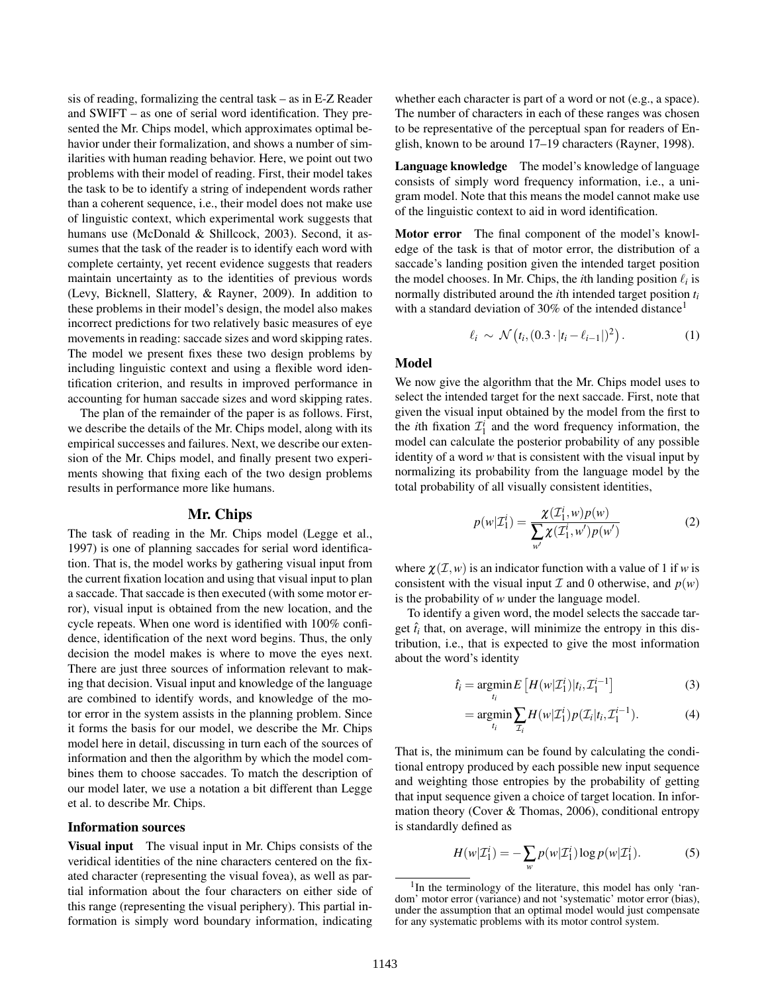sis of reading, formalizing the central task – as in E-Z Reader and SWIFT – as one of serial word identification. They presented the Mr. Chips model, which approximates optimal behavior under their formalization, and shows a number of similarities with human reading behavior. Here, we point out two problems with their model of reading. First, their model takes the task to be to identify a string of independent words rather than a coherent sequence, i.e., their model does not make use of linguistic context, which experimental work suggests that humans use (McDonald & Shillcock, 2003). Second, it assumes that the task of the reader is to identify each word with complete certainty, yet recent evidence suggests that readers maintain uncertainty as to the identities of previous words (Levy, Bicknell, Slattery, & Rayner, 2009). In addition to these problems in their model's design, the model also makes incorrect predictions for two relatively basic measures of eye movements in reading: saccade sizes and word skipping rates. The model we present fixes these two design problems by including linguistic context and using a flexible word identification criterion, and results in improved performance in accounting for human saccade sizes and word skipping rates.

The plan of the remainder of the paper is as follows. First, we describe the details of the Mr. Chips model, along with its empirical successes and failures. Next, we describe our extension of the Mr. Chips model, and finally present two experiments showing that fixing each of the two design problems results in performance more like humans.

## Mr. Chips

The task of reading in the Mr. Chips model (Legge et al., 1997) is one of planning saccades for serial word identification. That is, the model works by gathering visual input from the current fixation location and using that visual input to plan a saccade. That saccade is then executed (with some motor error), visual input is obtained from the new location, and the cycle repeats. When one word is identified with 100% confidence, identification of the next word begins. Thus, the only decision the model makes is where to move the eyes next. There are just three sources of information relevant to making that decision. Visual input and knowledge of the language are combined to identify words, and knowledge of the motor error in the system assists in the planning problem. Since it forms the basis for our model, we describe the Mr. Chips model here in detail, discussing in turn each of the sources of information and then the algorithm by which the model combines them to choose saccades. To match the description of our model later, we use a notation a bit different than Legge et al. to describe Mr. Chips.

# Information sources

Visual input The visual input in Mr. Chips consists of the veridical identities of the nine characters centered on the fixated character (representing the visual fovea), as well as partial information about the four characters on either side of this range (representing the visual periphery). This partial information is simply word boundary information, indicating whether each character is part of a word or not (e.g., a space). The number of characters in each of these ranges was chosen to be representative of the perceptual span for readers of English, known to be around 17–19 characters (Rayner, 1998).

Language knowledge The model's knowledge of language consists of simply word frequency information, i.e., a unigram model. Note that this means the model cannot make use of the linguistic context to aid in word identification.

Motor error The final component of the model's knowledge of the task is that of motor error, the distribution of a saccade's landing position given the intended target position the model chooses. In Mr. Chips, the *i*th landing position  $\ell_i$  is normally distributed around the *i*th intended target position *t<sup>i</sup>* with a standard deviation of 30% of the intended distance<sup>1</sup>

$$
\ell_i \sim \mathcal{N}\left(t_i, \left(0.3 \cdot |t_i - \ell_{i-1}|\right)^2\right). \tag{1}
$$

#### Model

We now give the algorithm that the Mr. Chips model uses to select the intended target for the next saccade. First, note that given the visual input obtained by the model from the first to the *i*th fixation  $\mathcal{I}_1^i$  and the word frequency information, the model can calculate the posterior probability of any possible identity of a word *w* that is consistent with the visual input by normalizing its probability from the language model by the total probability of all visually consistent identities,

$$
p(w|\mathcal{I}_1^i) = \frac{\chi(\mathcal{I}_1^i, w)p(w)}{\sum_{w'} \chi(\mathcal{I}_1^i, w')p(w')} \tag{2}
$$

where  $\chi(\mathcal{I}, w)$  is an indicator function with a value of 1 if *w* is consistent with the visual input  $\mathcal I$  and 0 otherwise, and  $p(w)$ is the probability of *w* under the language model.

To identify a given word, the model selects the saccade target  $\hat{t}_i$  that, on average, will minimize the entropy in this distribution, i.e., that is expected to give the most information about the word's identity

$$
\hat{t}_i = \underset{t_i}{\operatorname{argmin}} E\left[H(w|\mathcal{I}_1^i)|t_i, \mathcal{I}_1^{i-1}\right] \tag{3}
$$

$$
= \underset{t_i}{\text{argmin}} \sum_{\mathcal{I}_i} H(w|\mathcal{I}_1^i) p(\mathcal{I}_i|t_i, \mathcal{I}_1^{i-1}). \tag{4}
$$

That is, the minimum can be found by calculating the conditional entropy produced by each possible new input sequence and weighting those entropies by the probability of getting that input sequence given a choice of target location. In information theory (Cover & Thomas, 2006), conditional entropy is standardly defined as

$$
H(w|\mathcal{I}_1^i) = -\sum_{w} p(w|\mathcal{I}_1^i) \log p(w|\mathcal{I}_1^i).
$$
 (5)

<sup>&</sup>lt;sup>1</sup>In the terminology of the literature, this model has only 'random' motor error (variance) and not 'systematic' motor error (bias), under the assumption that an optimal model would just compensate for any systematic problems with its motor control system.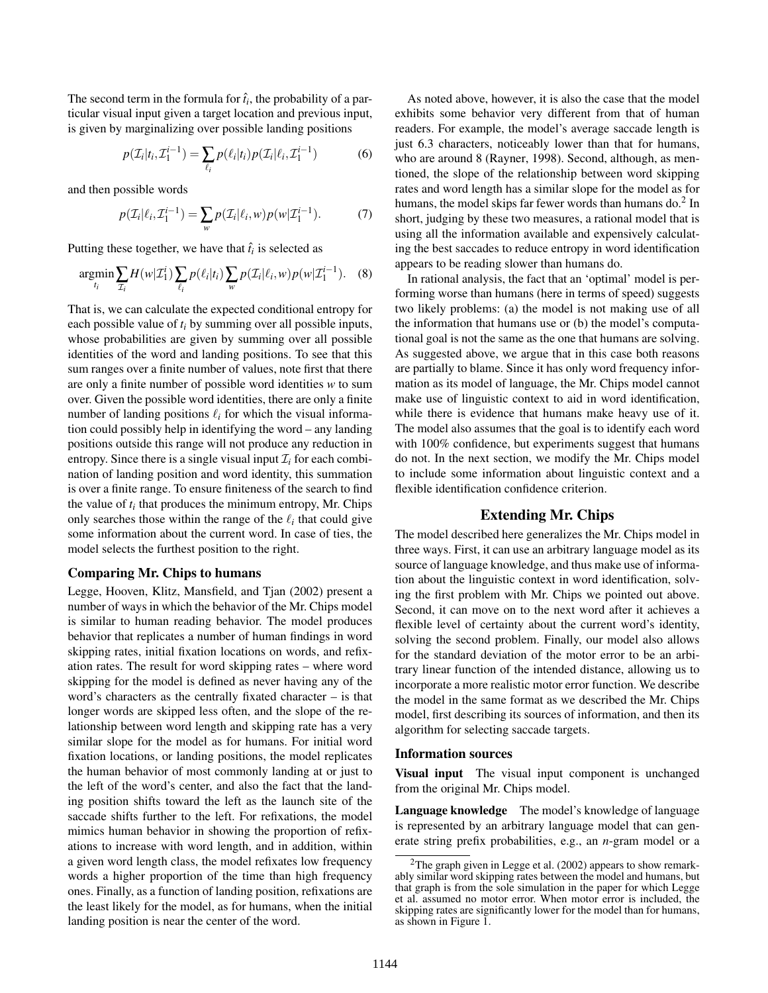The second term in the formula for  $\hat{t}_i$ , the probability of a particular visual input given a target location and previous input, is given by marginalizing over possible landing positions

$$
p(\mathcal{I}_i|t_i, \mathcal{I}_1^{i-1}) = \sum_{\ell_i} p(\ell_i|t_i) p(\mathcal{I}_i|\ell_i, \mathcal{I}_1^{i-1})
$$
 (6)

and then possible words

$$
p(\mathcal{I}_i|\ell_i, \mathcal{I}_1^{i-1}) = \sum_{w} p(\mathcal{I}_i|\ell_i, w) p(w|\mathcal{I}_1^{i-1}).
$$
 (7)

Putting these together, we have that  $\hat{t}_i$  is selected as

$$
\underset{t_i}{\text{argmin}} \sum_{\mathcal{I}_i} H(w|\mathcal{I}_1^i) \sum_{\ell_i} p(\ell_i|t_i) \sum_{w} p(\mathcal{I}_i|\ell_i, w) p(w|\mathcal{I}_1^{i-1}). \quad (8)
$$

That is, we can calculate the expected conditional entropy for each possible value of *t<sup>i</sup>* by summing over all possible inputs, whose probabilities are given by summing over all possible identities of the word and landing positions. To see that this sum ranges over a finite number of values, note first that there are only a finite number of possible word identities *w* to sum over. Given the possible word identities, there are only a finite number of landing positions  $\ell_i$  for which the visual information could possibly help in identifying the word – any landing positions outside this range will not produce any reduction in entropy. Since there is a single visual input  $\mathcal{I}_i$  for each combination of landing position and word identity, this summation is over a finite range. To ensure finiteness of the search to find the value of  $t_i$  that produces the minimum entropy, Mr. Chips only searches those within the range of the  $\ell_i$  that could give some information about the current word. In case of ties, the model selects the furthest position to the right.

#### Comparing Mr. Chips to humans

Legge, Hooven, Klitz, Mansfield, and Tjan (2002) present a number of ways in which the behavior of the Mr. Chips model is similar to human reading behavior. The model produces behavior that replicates a number of human findings in word skipping rates, initial fixation locations on words, and refixation rates. The result for word skipping rates – where word skipping for the model is defined as never having any of the word's characters as the centrally fixated character – is that longer words are skipped less often, and the slope of the relationship between word length and skipping rate has a very similar slope for the model as for humans. For initial word fixation locations, or landing positions, the model replicates the human behavior of most commonly landing at or just to the left of the word's center, and also the fact that the landing position shifts toward the left as the launch site of the saccade shifts further to the left. For refixations, the model mimics human behavior in showing the proportion of refixations to increase with word length, and in addition, within a given word length class, the model refixates low frequency words a higher proportion of the time than high frequency ones. Finally, as a function of landing position, refixations are the least likely for the model, as for humans, when the initial landing position is near the center of the word.

As noted above, however, it is also the case that the model exhibits some behavior very different from that of human readers. For example, the model's average saccade length is just 6.3 characters, noticeably lower than that for humans, who are around 8 (Rayner, 1998). Second, although, as mentioned, the slope of the relationship between word skipping rates and word length has a similar slope for the model as for humans, the model skips far fewer words than humans do.<sup>2</sup> In short, judging by these two measures, a rational model that is using all the information available and expensively calculating the best saccades to reduce entropy in word identification appears to be reading slower than humans do.

In rational analysis, the fact that an 'optimal' model is performing worse than humans (here in terms of speed) suggests two likely problems: (a) the model is not making use of all the information that humans use or (b) the model's computational goal is not the same as the one that humans are solving. As suggested above, we argue that in this case both reasons are partially to blame. Since it has only word frequency information as its model of language, the Mr. Chips model cannot make use of linguistic context to aid in word identification, while there is evidence that humans make heavy use of it. The model also assumes that the goal is to identify each word with 100% confidence, but experiments suggest that humans do not. In the next section, we modify the Mr. Chips model to include some information about linguistic context and a flexible identification confidence criterion.

## Extending Mr. Chips

The model described here generalizes the Mr. Chips model in three ways. First, it can use an arbitrary language model as its source of language knowledge, and thus make use of information about the linguistic context in word identification, solving the first problem with Mr. Chips we pointed out above. Second, it can move on to the next word after it achieves a flexible level of certainty about the current word's identity, solving the second problem. Finally, our model also allows for the standard deviation of the motor error to be an arbitrary linear function of the intended distance, allowing us to incorporate a more realistic motor error function. We describe the model in the same format as we described the Mr. Chips model, first describing its sources of information, and then its algorithm for selecting saccade targets.

#### Information sources

Visual input The visual input component is unchanged from the original Mr. Chips model.

Language knowledge The model's knowledge of language is represented by an arbitrary language model that can generate string prefix probabilities, e.g., an *n*-gram model or a

<sup>&</sup>lt;sup>2</sup>The graph given in Legge et al.  $(2002)$  appears to show remarkably similar word skipping rates between the model and humans, but that graph is from the sole simulation in the paper for which Legge et al. assumed no motor error. When motor error is included, the skipping rates are significantly lower for the model than for humans, as shown in Figure 1.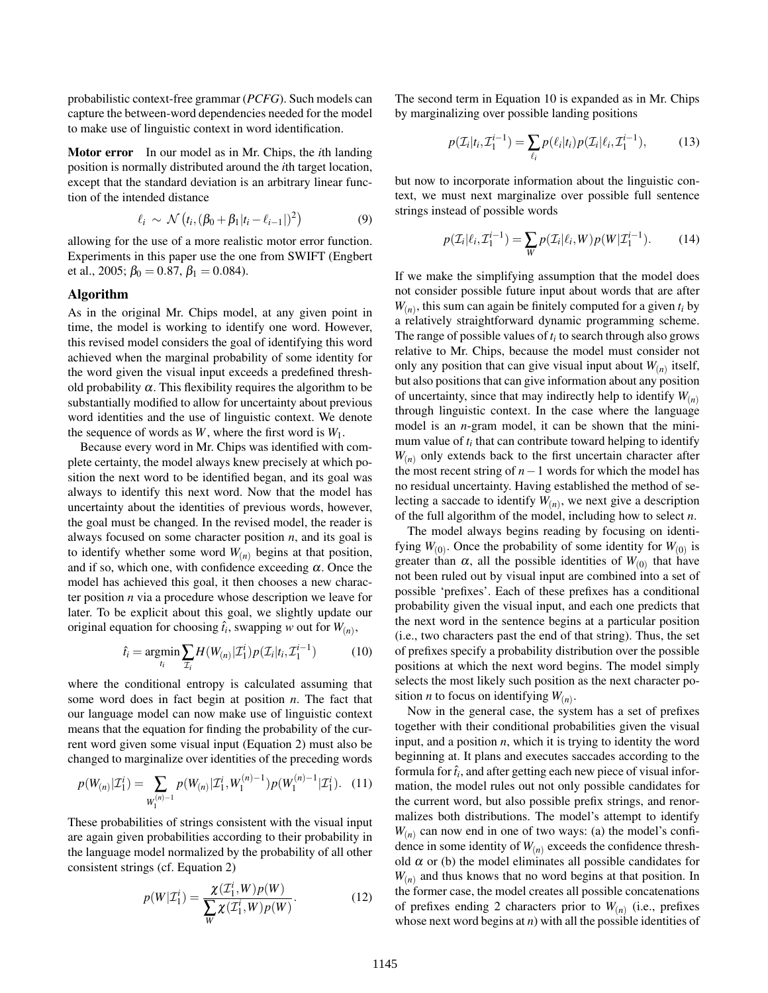probabilistic context-free grammar (*PCFG*). Such models can capture the between-word dependencies needed for the model to make use of linguistic context in word identification.

Motor error In our model as in Mr. Chips, the *i*th landing position is normally distributed around the *i*th target location, except that the standard deviation is an arbitrary linear function of the intended distance

$$
\ell_i \sim \mathcal{N}\left(t_i, (\beta_0 + \beta_1 |t_i - \ell_{i-1}|)^2\right) \tag{9}
$$

allowing for the use of a more realistic motor error function. Experiments in this paper use the one from SWIFT (Engbert et al., 2005;  $\beta_0 = 0.87$ ,  $\beta_1 = 0.084$ ).

#### Algorithm

As in the original Mr. Chips model, at any given point in time, the model is working to identify one word. However, this revised model considers the goal of identifying this word achieved when the marginal probability of some identity for the word given the visual input exceeds a predefined threshold probability  $\alpha$ . This flexibility requires the algorithm to be substantially modified to allow for uncertainty about previous word identities and the use of linguistic context. We denote the sequence of words as  $W$ , where the first word is  $W_1$ .

Because every word in Mr. Chips was identified with complete certainty, the model always knew precisely at which position the next word to be identified began, and its goal was always to identify this next word. Now that the model has uncertainty about the identities of previous words, however, the goal must be changed. In the revised model, the reader is always focused on some character position *n*, and its goal is to identify whether some word  $W_{(n)}$  begins at that position, and if so, which one, with confidence exceeding  $\alpha$ . Once the model has achieved this goal, it then chooses a new character position *n* via a procedure whose description we leave for later. To be explicit about this goal, we slightly update our original equation for choosing  $\hat{t}_i$ , swapping *w* out for  $W_{(n)}$ ,

$$
\hat{t}_i = \underset{t_i}{\text{argmin}} \sum_{\mathcal{I}_i} H(W_{(n)}|\mathcal{I}_1^i) p(\mathcal{I}_i|t_i, \mathcal{I}_1^{i-1}) \tag{10}
$$

where the conditional entropy is calculated assuming that some word does in fact begin at position *n*. The fact that our language model can now make use of linguistic context means that the equation for finding the probability of the current word given some visual input (Equation 2) must also be changed to marginalize over identities of the preceding words

$$
p(W_{(n)}|\mathcal{I}_1^i) = \sum_{W_1^{(n)-1}} p(W_{(n)}|\mathcal{I}_1^i, W_1^{(n)-1}) p(W_1^{(n)-1}|\mathcal{I}_1^i).
$$
 (11)

These probabilities of strings consistent with the visual input are again given probabilities according to their probability in the language model normalized by the probability of all other consistent strings (cf. Equation 2)

$$
p(W|\mathcal{I}_1^i) = \frac{\chi(\mathcal{I}_1^i, W)p(W)}{\sum_W \chi(\mathcal{I}_1^i, W)p(W)}.
$$
 (12)

The second term in Equation 10 is expanded as in Mr. Chips by marginalizing over possible landing positions

$$
p(\mathcal{I}_i|t_i, \mathcal{I}_1^{i-1}) = \sum_{\ell_i} p(\ell_i|t_i) p(\mathcal{I}_i|\ell_i, \mathcal{I}_1^{i-1}),
$$
 (13)

but now to incorporate information about the linguistic context, we must next marginalize over possible full sentence strings instead of possible words

$$
p(\mathcal{I}_i|\ell_i, \mathcal{I}_1^{i-1}) = \sum_W p(\mathcal{I}_i|\ell_i, W) p(W|\mathcal{I}_1^{i-1}).
$$
 (14)

If we make the simplifying assumption that the model does not consider possible future input about words that are after  $W_{(n)}$ , this sum can again be finitely computed for a given  $t_i$  by a relatively straightforward dynamic programming scheme. The range of possible values of *t<sup>i</sup>* to search through also grows relative to Mr. Chips, because the model must consider not only any position that can give visual input about  $W_{(n)}$  itself, but also positions that can give information about any position of uncertainty, since that may indirectly help to identify *W*(*n*) through linguistic context. In the case where the language model is an *n*-gram model, it can be shown that the minimum value of  $t_i$  that can contribute toward helping to identify  $W_{(n)}$  only extends back to the first uncertain character after the most recent string of *n*−1 words for which the model has no residual uncertainty. Having established the method of selecting a saccade to identify  $W_{(n)}$ , we next give a description of the full algorithm of the model, including how to select *n*.

The model always begins reading by focusing on identifying  $W_{(0)}$ . Once the probability of some identity for  $W_{(0)}$  is greater than  $\alpha$ , all the possible identities of  $W_{(0)}$  that have not been ruled out by visual input are combined into a set of possible 'prefixes'. Each of these prefixes has a conditional probability given the visual input, and each one predicts that the next word in the sentence begins at a particular position (i.e., two characters past the end of that string). Thus, the set of prefixes specify a probability distribution over the possible positions at which the next word begins. The model simply selects the most likely such position as the next character position *n* to focus on identifying  $W_{(n)}$ .

Now in the general case, the system has a set of prefixes together with their conditional probabilities given the visual input, and a position *n*, which it is trying to identity the word beginning at. It plans and executes saccades according to the formula for  $\hat{t}_i$ , and after getting each new piece of visual information, the model rules out not only possible candidates for the current word, but also possible prefix strings, and renormalizes both distributions. The model's attempt to identify  $W_{(n)}$  can now end in one of two ways: (a) the model's confidence in some identity of *W*(*n*) exceeds the confidence threshold  $\alpha$  or (b) the model eliminates all possible candidates for *W*(*n*) and thus knows that no word begins at that position. In the former case, the model creates all possible concatenations of prefixes ending 2 characters prior to  $W_{(n)}$  (i.e., prefixes whose next word begins at *n*) with all the possible identities of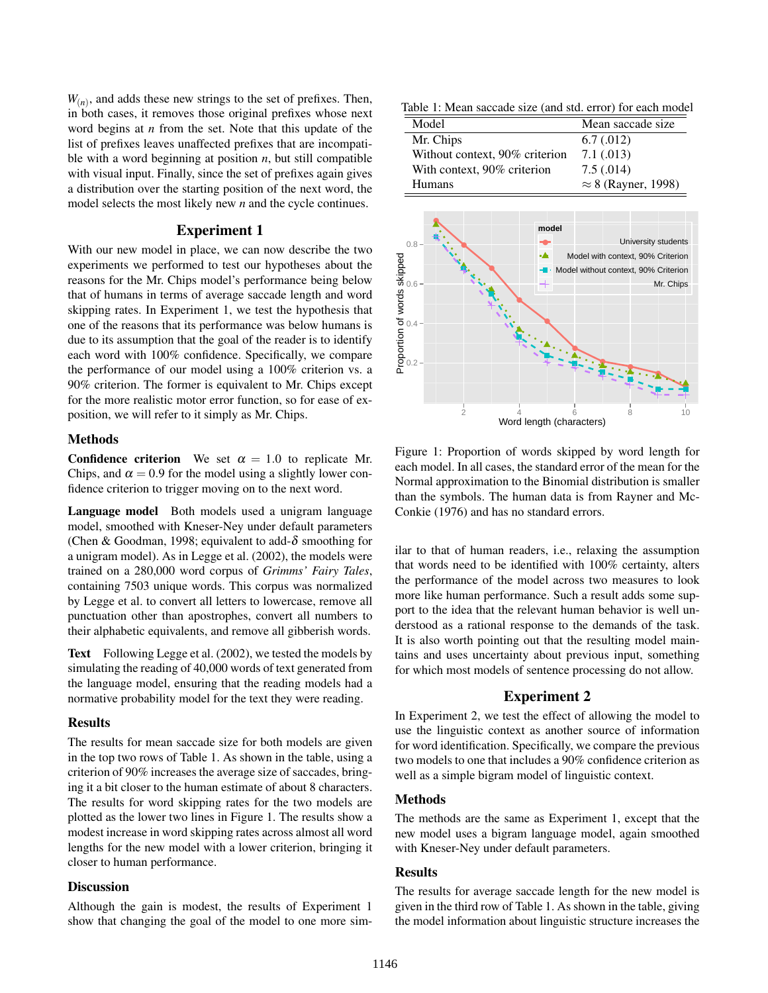$W_{(n)}$ , and adds these new strings to the set of prefixes. Then, in both cases, it removes those original prefixes whose next word begins at *n* from the set. Note that this update of the list of prefixes leaves unaffected prefixes that are incompatible with a word beginning at position  $n$ , but still compatible with visual input. Finally, since the set of prefixes again gives a distribution over the starting position of the next word, the model selects the most likely new *n* and the cycle continues.

## Experiment 1

With our new model in place, we can now describe the two experiments we performed to test our hypotheses about the reasons for the Mr. Chips model's performance being below that of humans in terms of average saccade length and word skipping rates. In Experiment 1, we test the hypothesis that one of the reasons that its performance was below humans is due to its assumption that the goal of the reader is to identify each word with 100% confidence. Specifically, we compare the performance of our model using a 100% criterion vs. a 90% criterion. The former is equivalent to Mr. Chips except for the more realistic motor error function, so for ease of exposition, we will refer to it simply as Mr. Chips.

#### Methods

**Confidence criterion** We set  $\alpha = 1.0$  to replicate Mr. Chips, and  $\alpha = 0.9$  for the model using a slightly lower confidence criterion to trigger moving on to the next word.

Language model Both models used a unigram language model, smoothed with Kneser-Ney under default parameters (Chen & Goodman, 1998; equivalent to add- $\delta$  smoothing for a unigram model). As in Legge et al. (2002), the models were trained on a 280,000 word corpus of *Grimms' Fairy Tales*, containing 7503 unique words. This corpus was normalized by Legge et al. to convert all letters to lowercase, remove all punctuation other than apostrophes, convert all numbers to their alphabetic equivalents, and remove all gibberish words.

Text Following Legge et al. (2002), we tested the models by simulating the reading of 40,000 words of text generated from the language model, ensuring that the reading models had a normative probability model for the text they were reading.

## Results

The results for mean saccade size for both models are given in the top two rows of Table 1. As shown in the table, using a criterion of 90% increases the average size of saccades, bringing it a bit closer to the human estimate of about 8 characters. The results for word skipping rates for the two models are plotted as the lower two lines in Figure 1. The results show a modest increase in word skipping rates across almost all word lengths for the new model with a lower criterion, bringing it closer to human performance.

### **Discussion**

Although the gain is modest, the results of Experiment 1 show that changing the goal of the model to one more sim-

Table 1: Mean saccade size (and std. error) for each model

| Model                          | Mean saccade size          |
|--------------------------------|----------------------------|
| Mr. Chips                      | 6.7(0.012)                 |
| Without context, 90% criterion | $7.1 \,(.013)$             |
| With context, 90% criterion    | 7.5(.014)                  |
| Humans                         | $\approx$ 8 (Rayner, 1998) |



Figure 1: Proportion of words skipped by word length for each model. In all cases, the standard error of the mean for the Normal approximation to the Binomial distribution is smaller than the symbols. The human data is from Rayner and Mc-Conkie (1976) and has no standard errors.

ilar to that of human readers, i.e., relaxing the assumption that words need to be identified with 100% certainty, alters the performance of the model across two measures to look more like human performance. Such a result adds some support to the idea that the relevant human behavior is well understood as a rational response to the demands of the task. It is also worth pointing out that the resulting model maintains and uses uncertainty about previous input, something for which most models of sentence processing do not allow.

# Experiment 2

In Experiment 2, we test the effect of allowing the model to use the linguistic context as another source of information for word identification. Specifically, we compare the previous two models to one that includes a 90% confidence criterion as well as a simple bigram model of linguistic context.

## Methods

The methods are the same as Experiment 1, except that the new model uses a bigram language model, again smoothed with Kneser-Ney under default parameters.

### Results

The results for average saccade length for the new model is given in the third row of Table 1. As shown in the table, giving the model information about linguistic structure increases the